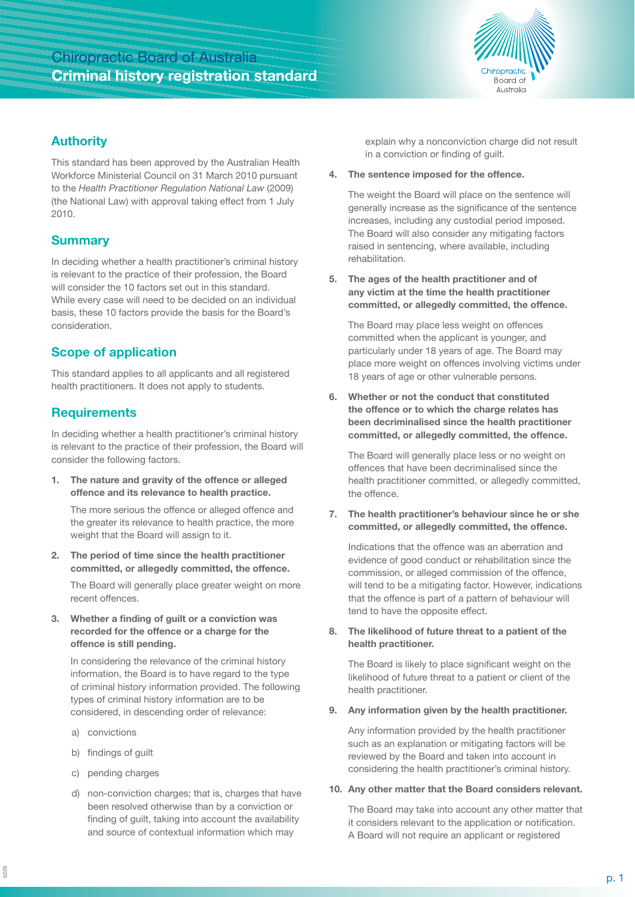# Chiropractic Board of Australia **Criminal history registration standard**



#### **Authority**

This standard has been approved by the Australian Health Workforce Ministerial Council on 31 March 2010 pursuant to the *Health Practitioner Regulation National Law* (2009) (the National Law) with approval taking effect from 1 July 2010.

# **Summary**

In deciding whether a health practitioner's criminal history is relevant to the practice of their profession, the Board will consider the 10 factors set out in this standard. While every case will need to be decided on an individual basis, these 10 factors provide the basis for the Board's consideration.

# **Scope of application**

This standard applies to all applicants and all registered health practitioners. It does not apply to students.

### **Requirements**

In deciding whether a health practitioner's criminal history is relevant to the practice of their profession, the Board will consider the following factors.

**1. The nature and gravity of the offence or alleged offence and its relevance to health practice.** 

The more serious the offence or alleged offence and the greater its relevance to health practice, the more weight that the Board will assign to it.

**2. The period of time since the health practitioner committed, or allegedly committed, the offence.**

The Board will generally place greater weight on more recent offences.

**3. Whether a finding of guilt or a conviction was recorded for the offence or a charge for the offence is still pending.**

In considering the relevance of the criminal history information, the Board is to have regard to the type of criminal history information provided. The following types of criminal history information are to be considered, in descending order of relevance:

- a) convictions
- b) findings of guilt
- c) pending charges
- d) non-conviction charges; that is, charges that have been resolved otherwise than by a conviction or finding of guilt, taking into account the availability and source of contextual information which may

explain why a nonconviction charge did not result in a conviction or finding of guilt.

**4. The sentence imposed for the offence.**

The weight the Board will place on the sentence will generally increase as the significance of the sentence increases, including any custodial period imposed. The Board will also consider any mitigating factors raised in sentencing, where available, including rehabilitation.

**5. The ages of the health practitioner and of any victim at the time the health practitioner committed, or allegedly committed, the offence.**

The Board may place less weight on offences committed when the applicant is younger, and particularly under 18 years of age. The Board may place more weight on offences involving victims under 18 years of age or other vulnerable persons.

**6. Whether or not the conduct that constituted the offence or to which the charge relates has been decriminalised since the health practitioner committed, or allegedly committed, the offence.**

The Board will generally place less or no weight on offences that have been decriminalised since the health practitioner committed, or allegedly committed, the offence.

**7. The health practitioner's behaviour since he or she committed, or allegedly committed, the offence.**

Indications that the offence was an aberration and evidence of good conduct or rehabilitation since the commission, or alleged commission of the offence, will tend to be a mitigating factor. However, indications that the offence is part of a pattern of behaviour will tend to have the opposite effect.

**8. The likelihood of future threat to a patient of the health practitioner.**

The Board is likely to place significant weight on the likelihood of future threat to a patient or client of the health practitioner.

**9. Any information given by the health practitioner.**

Any information provided by the health practitioner such as an explanation or mitigating factors will be reviewed by the Board and taken into account in considering the health practitioner's criminal history.

#### **10. Any other matter that the Board considers relevant.**

The Board may take into account any other matter that it considers relevant to the application or notification. A Board will not require an applicant or registered